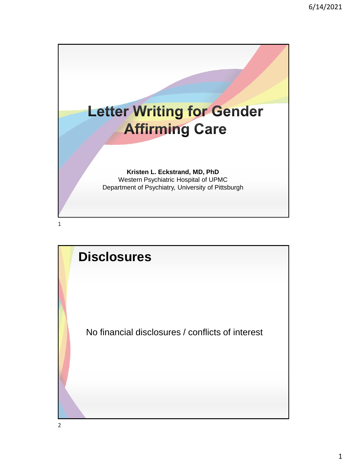

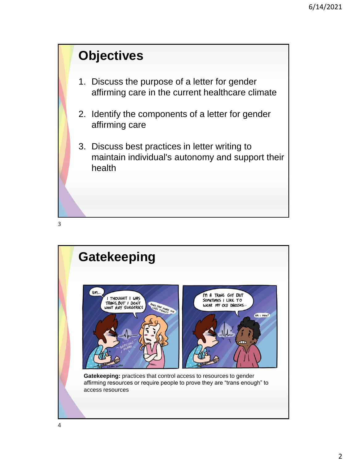



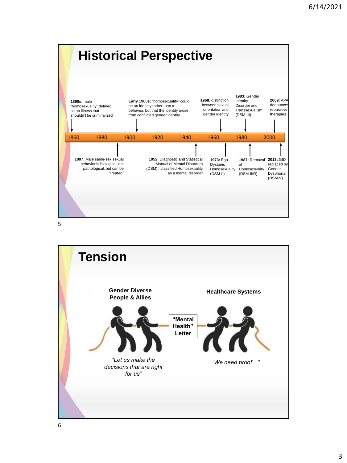

5

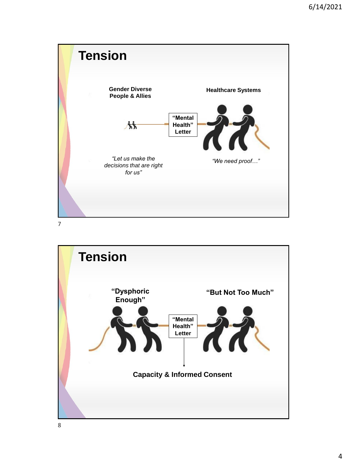

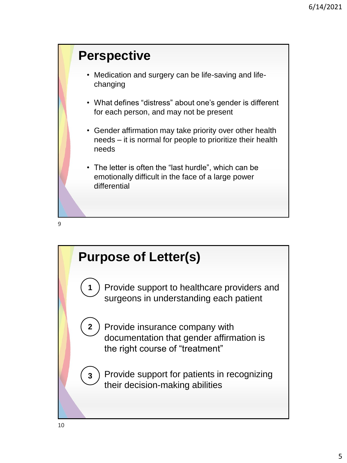### **Perspective**

- Medication and surgery can be life-saving and lifechanging
- What defines "distress" about one's gender is different for each person, and may not be present
- Gender affirmation may take priority over other health needs – it is normal for people to prioritize their health needs
- The letter is often the "last hurdle", which can be emotionally difficult in the face of a large power differential



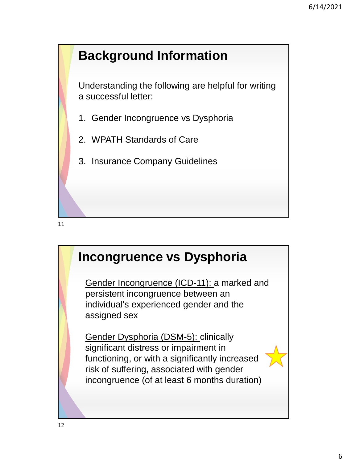# **Background Information**

Understanding the following are helpful for writing a successful letter:

- 1. Gender Incongruence vs Dysphoria
- 2. WPATH Standards of Care
- 3. Insurance Company Guidelines

11

### **Incongruence vs Dysphoria**

Gender Incongruence (ICD-11): a marked and persistent incongruence between an individual's experienced gender and the assigned sex

Gender Dysphoria (DSM-5): clinically significant distress or impairment in functioning, or with a significantly increased risk of suffering, associated with gender incongruence (of at least 6 months duration)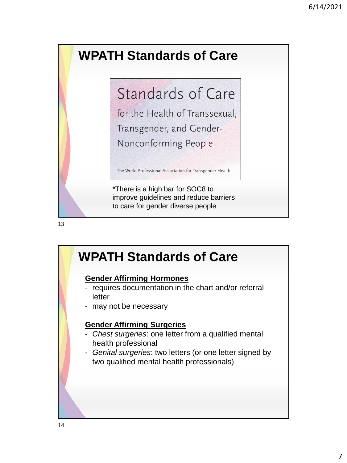# **WPATH Standards of Care**

# Standards of Care

for the Health of Transsexual, Transgender, and Gender-Nonconforming People

The World Professional Association for Transgender Health

\*There is a high bar for SOC8 to improve guidelines and reduce barriers to care for gender diverse people

### **WPATH Standards of Care**

#### **Gender Affirming Hormones**

- requires documentation in the chart and/or referral letter
- may not be necessary

#### **Gender Affirming Surgeries**

- *Chest surgeries*: one letter from a qualified mental health professional
- *Genital surgeries*: two letters (or one letter signed by two qualified mental health professionals)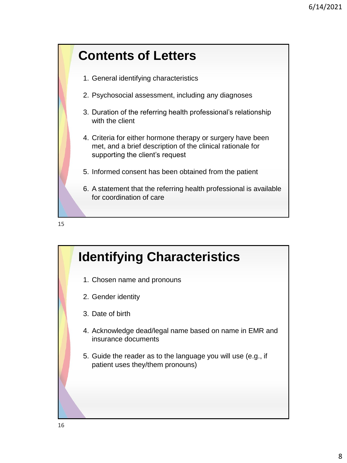



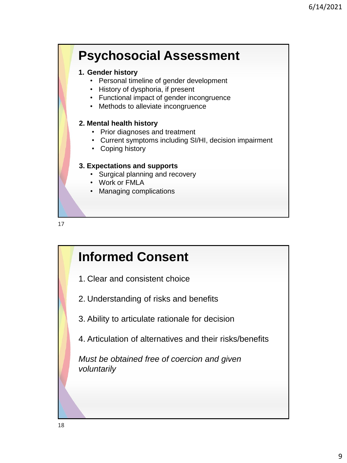# **Psychosocial Assessment**

#### **1. Gender history**

- Personal timeline of gender development
- History of dysphoria, if present
- Functional impact of gender incongruence
- Methods to alleviate incongruence

#### **2. Mental health history**

- Prior diagnoses and treatment
- Current symptoms including SI/HI, decision impairment
- Coping history

#### **3. Expectations and supports**

- Surgical planning and recovery
- Work or FMLA
- Managing complications



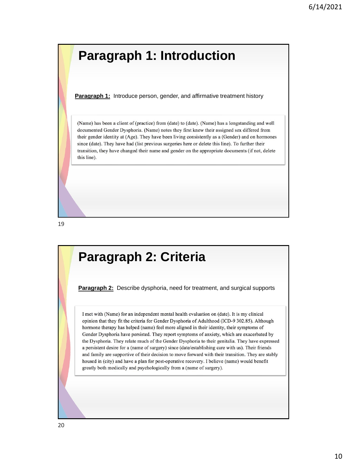### **Paragraph 1: Introduction**

**Paragraph 1:** Introduce person, gender, and affirmative treatment history

(Name) has been a client of (practice) from (date) to (date). (Name) has a longstanding and well documented Gender Dysphoria. (Name) notes they first knew their assigned sex differed from their gender identity at (Age). They have been living consistently as a (Gender) and on hormones since (date). They have had (list previous surgeries here or delete this line). To further their transition, they have changed their name and gender on the appropriate documents (if not, delete this line).

19

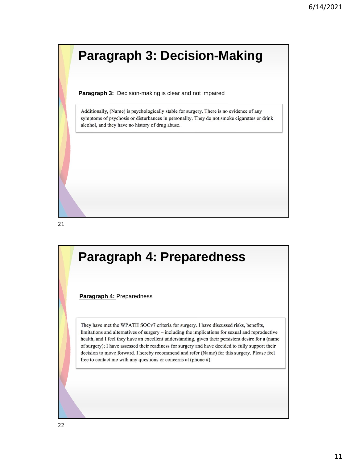

**Paragraph 3:** Decision-making is clear and not impaired

Additionally, (Name) is psychologically stable for surgery. There is no evidence of any symptoms of psychosis or disturbances in personality. They do not smoke cigarettes or drink alcohol, and they have no history of drug abuse.

21

# **Paragraph 4: Preparedness Paragraph 4:** Preparedness They have met the WPATH SOCv7 criteria for surgery. I have discussed risks, benefits, limitations and alternatives of surgery – including the implications for sexual and reproductive health, and I feel they have an excellent understanding, given their persistent desire for a (name of surgery); I have assessed their readiness for surgery and have decided to fully support their decision to move forward. I hereby recommend and refer (Name) for this surgery. Please feel free to contact me with any questions or concerns at (phone #).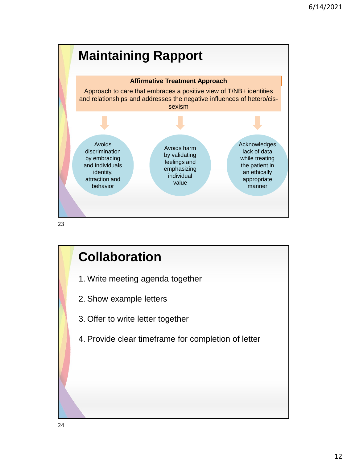

23